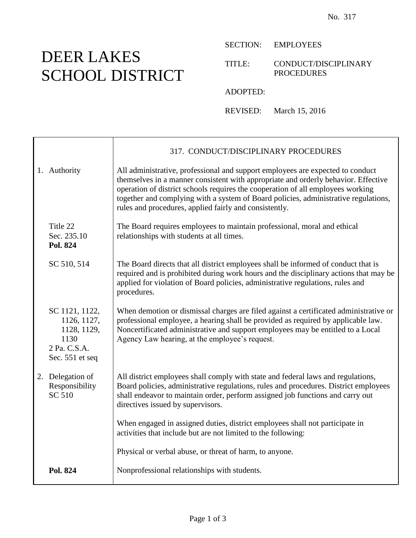## DEER LAKES SCHOOL DISTRICT

SECTION: EMPLOYEES

TITLE: CONDUCT/DISCIPLINARY PROCEDURES

ADOPTED:

REVISED: March 15, 2016

|                                                                                         | 317. CONDUCT/DISCIPLINARY PROCEDURES                                                                                                                                                                                                                                                                                                                                                                     |
|-----------------------------------------------------------------------------------------|----------------------------------------------------------------------------------------------------------------------------------------------------------------------------------------------------------------------------------------------------------------------------------------------------------------------------------------------------------------------------------------------------------|
| 1. Authority                                                                            | All administrative, professional and support employees are expected to conduct<br>themselves in a manner consistent with appropriate and orderly behavior. Effective<br>operation of district schools requires the cooperation of all employees working<br>together and complying with a system of Board policies, administrative regulations,<br>rules and procedures, applied fairly and consistently. |
| Title 22<br>Sec. 235.10<br>Pol. 824                                                     | The Board requires employees to maintain professional, moral and ethical<br>relationships with students at all times.                                                                                                                                                                                                                                                                                    |
| SC 510, 514                                                                             | The Board directs that all district employees shall be informed of conduct that is<br>required and is prohibited during work hours and the disciplinary actions that may be<br>applied for violation of Board policies, administrative regulations, rules and<br>procedures.                                                                                                                             |
| SC 1121, 1122,<br>1126, 1127,<br>1128, 1129,<br>1130<br>2 Pa. C.S.A.<br>Sec. 551 et seq | When demotion or dismissal charges are filed against a certificated administrative or<br>professional employee, a hearing shall be provided as required by applicable law.<br>Noncertificated administrative and support employees may be entitled to a Local<br>Agency Law hearing, at the employee's request.                                                                                          |
| 2. Delegation of<br>Responsibility<br>SC 510                                            | All district employees shall comply with state and federal laws and regulations,<br>Board policies, administrative regulations, rules and procedures. District employees<br>shall endeavor to maintain order, perform assigned job functions and carry out<br>directives issued by supervisors.                                                                                                          |
|                                                                                         | When engaged in assigned duties, district employees shall not participate in<br>activities that include but are not limited to the following:                                                                                                                                                                                                                                                            |
|                                                                                         | Physical or verbal abuse, or threat of harm, to anyone.                                                                                                                                                                                                                                                                                                                                                  |
| Pol. 824                                                                                | Nonprofessional relationships with students.                                                                                                                                                                                                                                                                                                                                                             |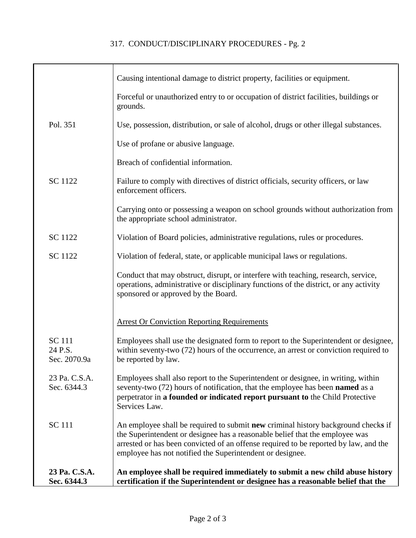## 317. CONDUCT/DISCIPLINARY PROCEDURES - Pg. 2

|                                          | Causing intentional damage to district property, facilities or equipment.                                                                                                                                                                                                                                              |
|------------------------------------------|------------------------------------------------------------------------------------------------------------------------------------------------------------------------------------------------------------------------------------------------------------------------------------------------------------------------|
|                                          | Forceful or unauthorized entry to or occupation of district facilities, buildings or<br>grounds.                                                                                                                                                                                                                       |
| Pol. 351                                 | Use, possession, distribution, or sale of alcohol, drugs or other illegal substances.                                                                                                                                                                                                                                  |
|                                          | Use of profane or abusive language.                                                                                                                                                                                                                                                                                    |
|                                          | Breach of confidential information.                                                                                                                                                                                                                                                                                    |
| SC 1122                                  | Failure to comply with directives of district officials, security officers, or law<br>enforcement officers.                                                                                                                                                                                                            |
|                                          | Carrying onto or possessing a weapon on school grounds without authorization from<br>the appropriate school administrator.                                                                                                                                                                                             |
| <b>SC</b> 1122                           | Violation of Board policies, administrative regulations, rules or procedures.                                                                                                                                                                                                                                          |
| SC 1122                                  | Violation of federal, state, or applicable municipal laws or regulations.                                                                                                                                                                                                                                              |
|                                          | Conduct that may obstruct, disrupt, or interfere with teaching, research, service,<br>operations, administrative or disciplinary functions of the district, or any activity<br>sponsored or approved by the Board.                                                                                                     |
|                                          | <b>Arrest Or Conviction Reporting Requirements</b>                                                                                                                                                                                                                                                                     |
| <b>SC</b> 111<br>24 P.S.<br>Sec. 2070.9a | Employees shall use the designated form to report to the Superintendent or designee,<br>within seventy-two (72) hours of the occurrence, an arrest or conviction required to<br>be reported by law.                                                                                                                    |
| 23 Pa. C.S.A.<br>Sec. 6344.3             | Employees shall also report to the Superintendent or designee, in writing, within<br>seventy-two (72) hours of notification, that the employee has been <b>named</b> as a<br>perpetrator in a founded or indicated report pursuant to the Child Protective<br>Services Law.                                            |
| <b>SC</b> 111                            | An employee shall be required to submit new criminal history background checks if<br>the Superintendent or designee has a reasonable belief that the employee was<br>arrested or has been convicted of an offense required to be reported by law, and the<br>employee has not notified the Superintendent or designee. |
| 23 Pa. C.S.A.<br>Sec. 6344.3             | An employee shall be required immediately to submit a new child abuse history<br>certification if the Superintendent or designee has a reasonable belief that the                                                                                                                                                      |